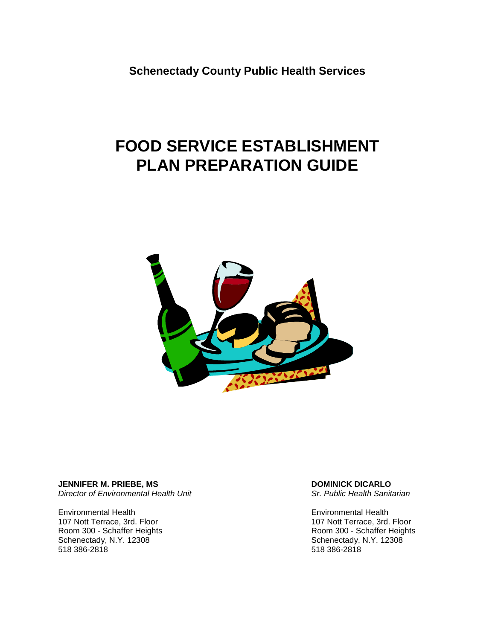**Schenectady County Public Health Services**

# **FOOD SERVICE ESTABLISHMENT PLAN PREPARATION GUIDE**



**JENNIFER M. PRIEBE, MS** *Director of Environmental Health Unit*

Environmental Health 107 Nott Terrace, 3rd. Floor Room 300 - Schaffer Heights Schenectady, N.Y. 12308 518 386-2818

#### **DOMINICK DICARLO**

*Sr. Public Health Sanitarian*

Environmental Health 107 Nott Terrace, 3rd. Floor Room 300 - Schaffer Heights Schenectady, N.Y. 12308 518 386-2818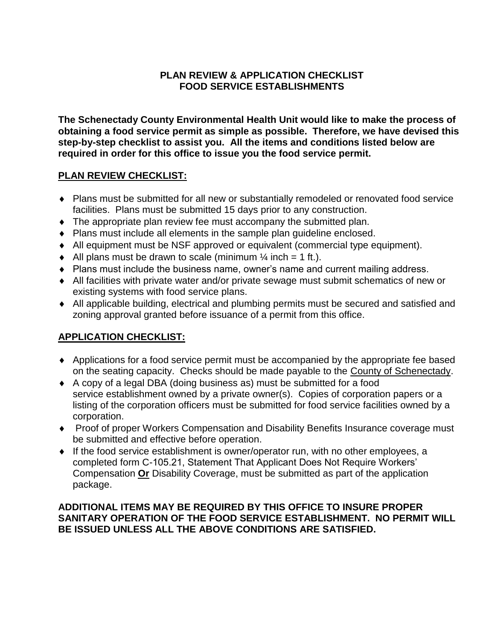## **PLAN REVIEW & APPLICATION CHECKLIST FOOD SERVICE ESTABLISHMENTS**

**The Schenectady County Environmental Health Unit would like to make the process of obtaining a food service permit as simple as possible. Therefore, we have devised this step-by-step checklist to assist you. All the items and conditions listed below are required in order for this office to issue you the food service permit.** 

# **PLAN REVIEW CHECKLIST:**

- Plans must be submitted for all new or substantially remodeled or renovated food service facilities. Plans must be submitted 15 days prior to any construction.
- The appropriate plan review fee must accompany the submitted plan.
- Plans must include all elements in the sample plan guideline enclosed.
- All equipment must be NSF approved or equivalent (commercial type equipment).
- $\blacklozenge$  All plans must be drawn to scale (minimum  $\frac{1}{4}$  inch = 1 ft.).
- Plans must include the business name, owner's name and current mailing address.
- All facilities with private water and/or private sewage must submit schematics of new or existing systems with food service plans.
- All applicable building, electrical and plumbing permits must be secured and satisfied and zoning approval granted before issuance of a permit from this office.

# **APPLICATION CHECKLIST:**

- Applications for a food service permit must be accompanied by the appropriate fee based on the seating capacity. Checks should be made payable to the County of Schenectady.
- A copy of a legal DBA (doing business as) must be submitted for a food service establishment owned by a private owner(s). Copies of corporation papers or a listing of the corporation officers must be submitted for food service facilities owned by a corporation.
- Proof of proper Workers Compensation and Disability Benefits Insurance coverage must be submitted and effective before operation.
- If the food service establishment is owner/operator run, with no other employees, a completed form C-105.21, Statement That Applicant Does Not Require Workers' Compensation **Or** Disability Coverage, must be submitted as part of the application package.

## **ADDITIONAL ITEMS MAY BE REQUIRED BY THIS OFFICE TO INSURE PROPER SANITARY OPERATION OF THE FOOD SERVICE ESTABLISHMENT. NO PERMIT WILL BE ISSUED UNLESS ALL THE ABOVE CONDITIONS ARE SATISFIED.**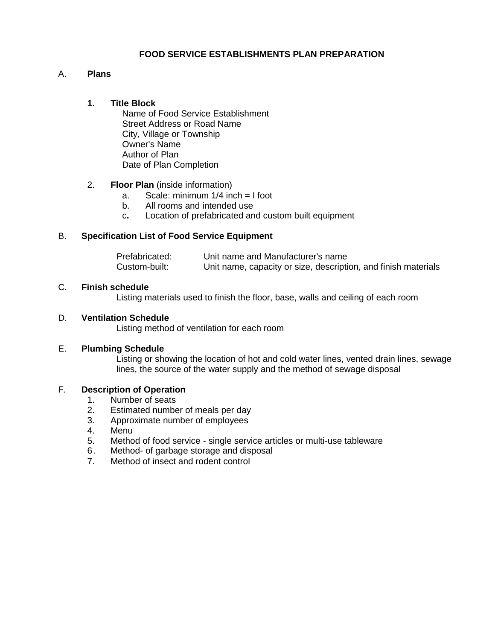## **FOOD SERVICE ESTABLISHMENTS PLAN PREPARATION**

## A. **Plans**

## **1. Title Block**

Name of Food Service Establishment Street Address or Road Name City, Village or Township Owner's Name Author of Plan Date of Plan Completion

## 2. **Floor Plan** (inside information)

- a. Scale: minimum 1/4 inch = I foot
- b. All rooms and intended use
- c**.** Location of prefabricated and custom built equipment

## B. **Specification List of Food Service Equipment**

| Prefabricated: | Unit name and Manufacturer's name                              |
|----------------|----------------------------------------------------------------|
| Custom-built:  | Unit name, capacity or size, description, and finish materials |

#### C. **Finish schedule**

Listing materials used to finish the floor, base, walls and ceiling of each room

#### D. **Ventilation Schedule**

Listing method of ventilation for each room

#### E. **Plumbing Schedule**

Listing or showing the location of hot and cold water lines, vented drain lines, sewage lines, the source of the water supply and the method of sewage disposal

#### F*.* **Description of Operation**

- 1. Number of seats
- 2. Estimated number of meals per day
- 3. Approximate number of employees
- 4. Menu
- 5. Method of food service single service articles or multi-use tableware
- 6. Method- of garbage storage and disposal
- 7. Method of insect and rodent control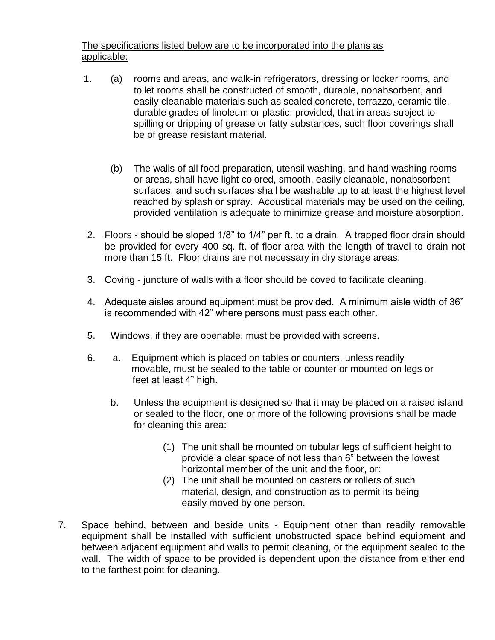The specifications listed below are to be incorporated into the plans as applicable:

- 1. (a) rooms and areas, and walk-in refrigerators, dressing or locker rooms, and toilet rooms shall be constructed of smooth, durable, nonabsorbent, and easily cleanable materials such as sealed concrete, terrazzo, ceramic tile, durable grades of linoleum or plastic: provided, that in areas subject to spilling or dripping of grease or fatty substances, such floor coverings shall be of grease resistant material.
	- (b) The walls of all food preparation, utensil washing, and hand washing rooms or areas, shall have light colored, smooth, easily cleanable, nonabsorbent surfaces, and such surfaces shall be washable up to at least the highest level reached by splash or spray. Acoustical materials may be used on the ceiling, provided ventilation is adequate to minimize grease and moisture absorption.
- 2. Floors should be sloped 1/8" to 1/4" per ft. to a drain. A trapped floor drain should be provided for every 400 sq. ft. of floor area with the length of travel to drain not more than 15 ft. Floor drains are not necessary in dry storage areas.
- 3. Coving juncture of walls with a floor should be coved to facilitate cleaning.
- 4. Adequate aisles around equipment must be provided. A minimum aisle width of 36" is recommended with 42" where persons must pass each other.
- 5. Windows, if they are openable, must be provided with screens.
- 6. a. Equipment which is placed on tables or counters, unless readily movable, must be sealed to the table or counter or mounted on legs or feet at least 4" high.
	- b. Unless the equipment is designed so that it may be placed on a raised island or sealed to the floor, one or more of the following provisions shall be made for cleaning this area:
		- (1) The unit shall be mounted on tubular legs of sufficient height to provide a clear space of not less than 6" between the lowest horizontal member of the unit and the floor, or:
		- (2) The unit shall be mounted on casters or rollers of such material, design, and construction as to permit its being easily moved by one person.
- 7. Space behind, between and beside units Equipment other than readily removable equipment shall be installed with sufficient unobstructed space behind equipment and between adjacent equipment and walls to permit cleaning, or the equipment sealed to the wall. The width of space to be provided is dependent upon the distance from either end to the farthest point for cleaning.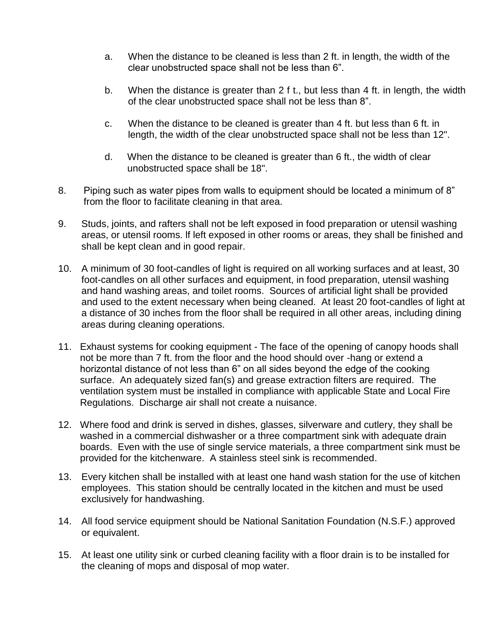- a. When the distance to be cleaned is less than 2 ft. in length, the width of the clear unobstructed space shall not be less than 6".
- b. When the distance is greater than 2 f t., but less than 4 ft. in length, the width of the clear unobstructed space shall not be less than 8".
- c. When the distance to be cleaned is greater than 4 ft. but less than 6 ft. in length, the width of the clear unobstructed space shall not be less than 12".
- d. When the distance to be cleaned is greater than 6 ft., the width of clear unobstructed space shall be 18".
- 8. Piping such as water pipes from walls to equipment should be located a minimum of 8" from the floor to facilitate cleaning in that area.
- 9. Studs, joints, and rafters shall not be left exposed in food preparation or utensil washing areas, or utensil rooms. lf left exposed in other rooms or areas, they shall be finished and shall be kept clean and in good repair.
- 10. A minimum of 30 foot-candles of light is required on all working surfaces and at least, 30 foot-candles on all other surfaces and equipment, in food preparation, utensil washing and hand washing areas, and toilet rooms. Sources of artificial light shall be provided and used to the extent necessary when being cleaned. At least 20 foot-candles of light at a distance of 30 inches from the floor shall be required in all other areas, including dining areas during cleaning operations.
- 11. Exhaust systems for cooking equipment The face of the opening of canopy hoods shall not be more than 7 ft. from the floor and the hood should over -hang or extend a horizontal distance of not less than 6" on all sides beyond the edge of the cooking surface. An adequately sized fan(s) and grease extraction filters are required. The ventilation system must be installed in compliance with applicable State and Local Fire Regulations. Discharge air shall not create a nuisance.
- 12. Where food and drink is served in dishes, glasses, silverware and cutlery, they shall be washed in a commercial dishwasher or a three compartment sink with adequate drain boards. Even with the use of single service materials, a three compartment sink must be provided for the kitchenware. A stainless steel sink is recommended.
- 13. Every kitchen shall be installed with at least one hand wash station for the use of kitchen employees. This station should be centrally located in the kitchen and must be used exclusively for handwashing.
- 14. All food service equipment should be National Sanitation Foundation (N.S.F.) approved or equivalent.
- 15. At least one utility sink or curbed cleaning facility with a floor drain is to be installed for the cleaning of mops and disposal of mop water.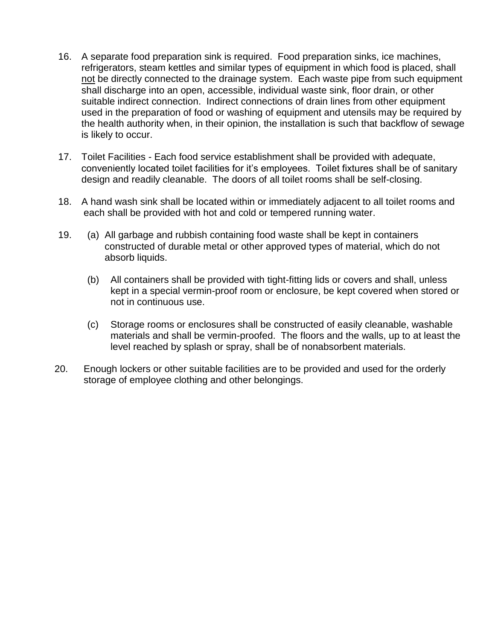- 16. A separate food preparation sink is required. Food preparation sinks, ice machines, refrigerators, steam kettles and similar types of equipment in which food is placed, shall not be directly connected to the drainage system. Each waste pipe from such equipment shall discharge into an open, accessible, individual waste sink, floor drain, or other suitable indirect connection. Indirect connections of drain lines from other equipment used in the preparation of food or washing of equipment and utensils may be required by the health authority when, in their opinion, the installation is such that backflow of sewage is likely to occur.
- 17. Toilet Facilities Each food service establishment shall be provided with adequate, conveniently located toilet facilities for it's employees. Toilet fixtures shall be of sanitary design and readily cleanable. The doors of all toilet rooms shall be self-closing.
- 18. A hand wash sink shall be located within or immediately adjacent to all toilet rooms and each shall be provided with hot and cold or tempered running water.
- 19. (a) All garbage and rubbish containing food waste shall be kept in containers constructed of durable metal or other approved types of material, which do not absorb liquids.
	- (b) All containers shall be provided with tight-fitting lids or covers and shall, unless kept in a special vermin-proof room or enclosure, be kept covered when stored or not in continuous use.
	- (c) Storage rooms or enclosures shall be constructed of easily cleanable, washable materials and shall be vermin-proofed. The floors and the walls, up to at least the level reached by splash or spray, shall be of nonabsorbent materials.
- 20. Enough lockers or other suitable facilities are to be provided and used for the orderly storage of employee clothing and other belongings.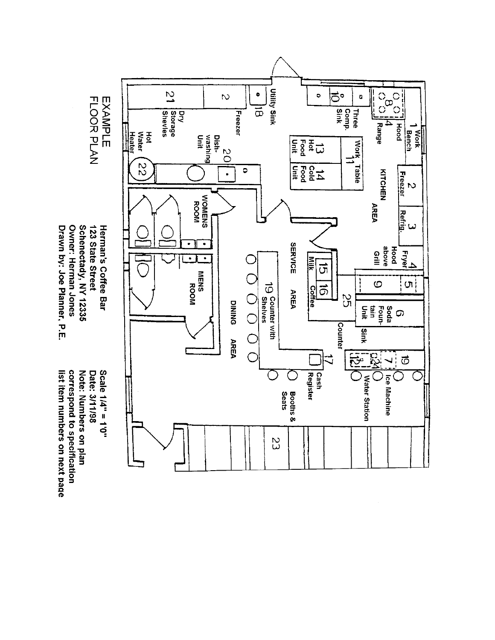

Owner: Herman Jones Drawn by: Joe Planner, P.E.

list item numbers on next page correspond to specification